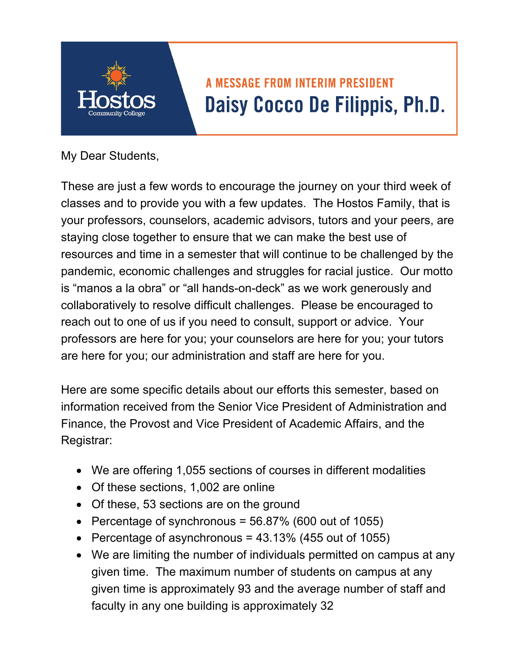

## **A MESSAGE FROM INTERIM PRESIDENT** Daisy Cocco De Filippis, Ph.D.

My Dear Students,

These are just a few words to encourage the journey on your third week of classes and to provide you with a few updates. The Hostos Family, that is your professors, counselors, academic advisors, tutors and your peers, are staying close together to ensure that we can make the best use of resources and time in a semester that will continue to be challenged by the pandemic, economic challenges and struggles for racial justice. Our motto is "manos a la obra" or "all hands-on-deck" as we work generously and collaboratively to resolve difficult challenges. Please be encouraged to reach out to one of us if you need to consult, support or advice. Your professors are here for you; your counselors are here for you; your tutors are here for you; our administration and staff are here for you.

Here are some specific details about our efforts this semester, based on information received from the Senior Vice President of Administration and Finance, the Provost and Vice President of Academic Affairs, and the Registrar:

- We are offering 1,055 sections of courses in different modalities
- Of these sections, 1,002 are online
- Of these, 53 sections are on the ground
- Percentage of synchronous =  $56.87\%$  (600 out of 1055)
- Percentage of asynchronous =  $43.13\%$  (455 out of 1055)
- We are limiting the number of individuals permitted on campus at any given time. The maximum number of students on campus at any given time is approximately 93 and the average number of staff and faculty in any one building is approximately 32